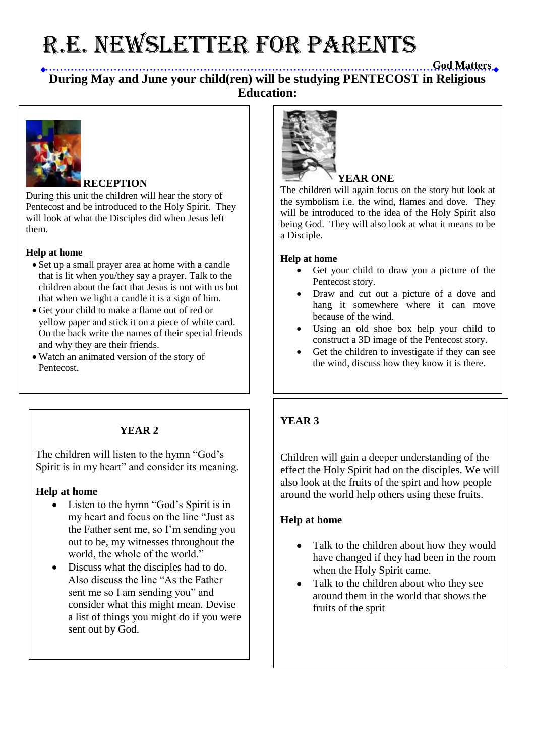# R.E. NEWSLETTER for PARENTS

## **God Matters During May and June your child(ren) will be studying PENTECOST in Religious Education:**



## **RECEPTION**

During this unit the children will hear the story of Pentecost and be introduced to the Holy Spirit. They will look at what the Disciples did when Jesus left them.

#### **Help at home**

- Set up a small prayer area at home with a candle that is lit when you/they say a prayer. Talk to the children about the fact that Jesus is not with us but that when we light a candle it is a sign of him.
- Get your child to make a flame out of red or yellow paper and stick it on a piece of white card. On the back write the names of their special friends and why they are their friends.
- Watch an animated version of the story of Pentecost.

## **YEAR 2**

The children will listen to the hymn "God's Spirit is in my heart" and consider its meaning.

#### **Help at home**

- Listen to the hymn "God's Spirit is in my heart and focus on the line "Just as the Father sent me, so I'm sending you out to be, my witnesses throughout the world, the whole of the world."
- Discuss what the disciples had to do. Also discuss the line "As the Father sent me so I am sending you" and consider what this might mean. Devise a list of things you might do if you were sent out by God.



## **YEAR ONE**

The children will again focus on the story but look at the symbolism i.e. the wind, flames and dove. They will be introduced to the idea of the Holy Spirit also being God. They will also look at what it means to be a Disciple.

#### **Help at home**

- Get your child to draw you a picture of the Pentecost story.
- Draw and cut out a picture of a dove and hang it somewhere where it can move because of the wind.
- Using an old shoe box help your child to construct a 3D image of the Pentecost story.
- Get the children to investigate if they can see the wind, discuss how they know it is there.

## **YEAR 3**

Children will gain a deeper understanding of the effect the Holy Spirit had on the disciples. We will also look at the fruits of the spirt and how people around the world help others using these fruits.

#### **Help at home**

- Talk to the children about how they would have changed if they had been in the room when the Holy Spirit came.
- Talk to the children about who they see around them in the world that shows the fruits of the sprit